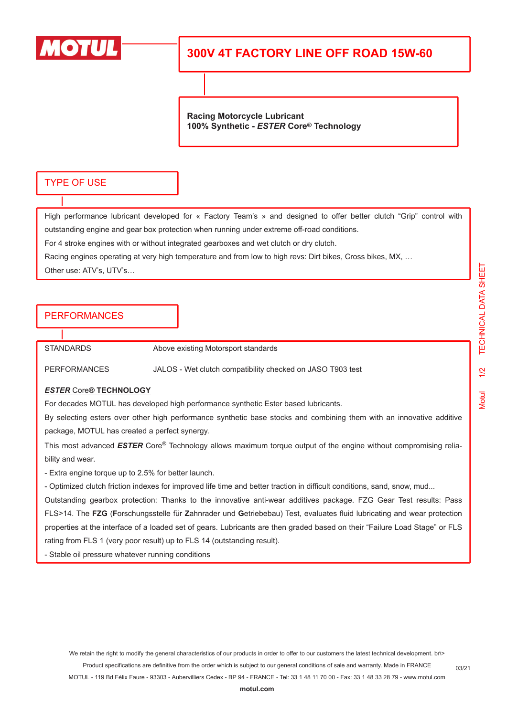

## **300V 4T FACTORY LINE OFF ROAD 15W-60**

**Racing Motorcycle Lubricant 100% Synthetic -** *ESTER* **Core® Technology**

### TYPE OF USE

High performance lubricant developed for « Factory Team's » and designed to offer better clutch "Grip" control with outstanding engine and gear box protection when running under extreme off-road conditions.

For 4 stroke engines with or without integrated gearboxes and wet clutch or dry clutch.

Racing engines operating at very high temperature and from low to high revs: Dirt bikes, Cross bikes, MX, …

Other use: ATV's, UTV's…

## PERFORMANCES

STANDARDS Above existing Motorsport standards

PERFORMANCES JALOS - Wet clutch compatibility checked on JASO T903 test

#### *ESTER* Core**® TECHNOLOGY**

For decades MOTUL has developed high performance synthetic Ester based lubricants.

By selecting esters over other high performance synthetic base stocks and combining them with an innovative additive package, MOTUL has created a perfect synergy.

This most advanced *ESTER* Core® Technology allows maximum torque output of the engine without compromising reliability and wear.

- Extra engine torque up to 2.5% for better launch.

- Optimized clutch friction indexes for improved life time and better traction in difficult conditions, sand, snow, mud...

Outstanding gearbox protection: Thanks to the innovative anti-wear additives package. FZG Gear Test results: Pass FLS>14. The **FZG** (**F**orschungsstelle für **Z**ahnrader und **G**etriebebau) Test, evaluates fluid lubricating and wear protection properties at the interface of a loaded set of gears. Lubricants are then graded based on their "Failure Load Stage" or FLS rating from FLS 1 (very poor result) up to FLS 14 (outstanding result).

- Stable oil pressure whatever running conditions